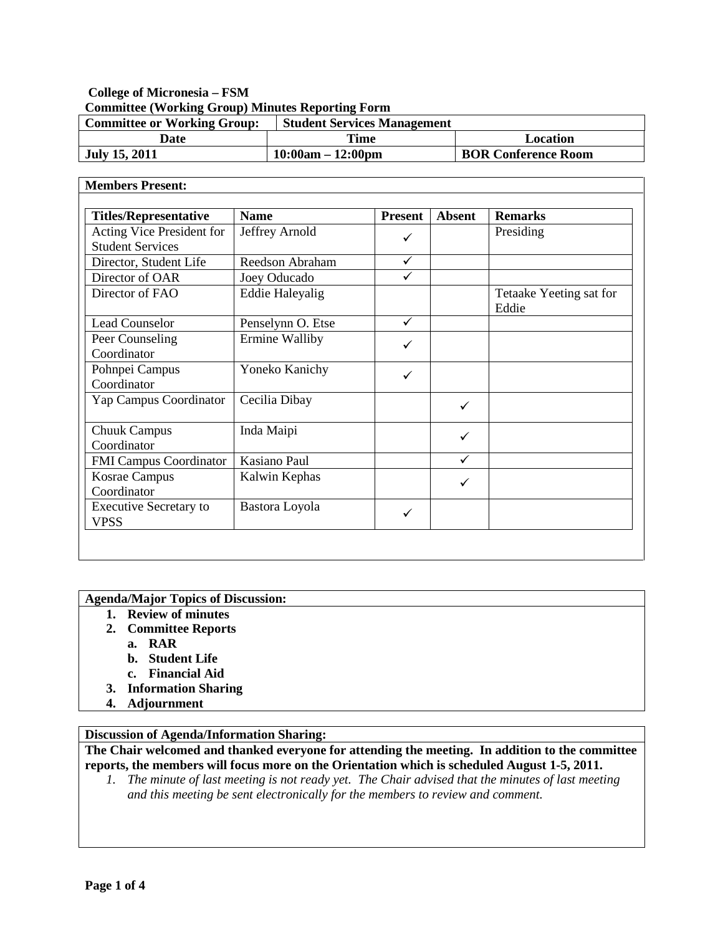# **College of Micronesia – FSM Committee (Working Group) Minutes Reporting Form**

| <b>Committee or Working Group:</b> | <b>Student Services Management</b> |                            |
|------------------------------------|------------------------------------|----------------------------|
| Date                               | Time                               | Location                   |
| <b>July 15, 2011</b>               | $10:00am - 12:00pm$                | <b>BOR Conference Room</b> |

#### **Members Present:**

| <b>Titles/Representative</b>                         | <b>Name</b>            | <b>Present</b> | <b>Absent</b> | <b>Remarks</b>                   |
|------------------------------------------------------|------------------------|----------------|---------------|----------------------------------|
| Acting Vice President for<br><b>Student Services</b> | Jeffrey Arnold         | ✓              |               | Presiding                        |
| Director, Student Life                               | <b>Reedson Abraham</b> | $\checkmark$   |               |                                  |
| Director of OAR                                      | Joey Oducado           | ✓              |               |                                  |
| Director of FAO                                      | <b>Eddie Haleyalig</b> |                |               | Tetaake Yeeting sat for<br>Eddie |
| Lead Counselor                                       | Penselynn O. Etse      | ✓              |               |                                  |
| Peer Counseling<br>Coordinator                       | Ermine Walliby         | ✓              |               |                                  |
| Pohnpei Campus<br>Coordinator                        | Yoneko Kanichy         | ✓              |               |                                  |
| Yap Campus Coordinator                               | Cecilia Dibay          |                | ✓             |                                  |
| <b>Chuuk Campus</b><br>Coordinator                   | Inda Maipi             |                | ✓             |                                  |
| FMI Campus Coordinator                               | Kasiano Paul           |                | ✓             |                                  |
| <b>Kosrae Campus</b><br>Coordinator                  | Kalwin Kephas          |                | ✓             |                                  |
| <b>Executive Secretary to</b><br>VPSS                | Bastora Loyola         | ✓              |               |                                  |

#### **Agenda/Major Topics of Discussion:**

- **1. Review of minutes**
- **2. Committee Reports**
	- **a. RAR**
	- **b. Student Life**
	- **c. Financial Aid**
- **3. Information Sharing**
- **4. Adjournment**

# **Discussion of Agenda/Information Sharing:**

**The Chair welcomed and thanked everyone for attending the meeting. In addition to the committee reports, the members will focus more on the Orientation which is scheduled August 1-5, 2011.**

*1. The minute of last meeting is not ready yet. The Chair advised that the minutes of last meeting and this meeting be sent electronically for the members to review and comment.*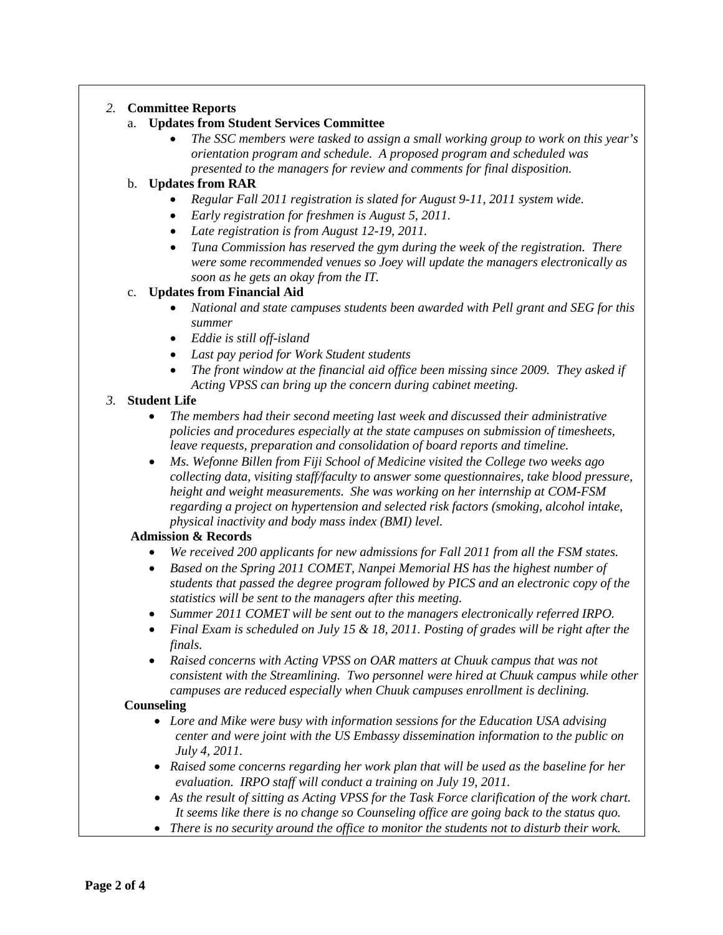# *2.* **Committee Reports**

## a. **Updates from Student Services Committee**

• *The SSC members were tasked to assign a small working group to work on this year's orientation program and schedule. A proposed program and scheduled was presented to the managers for review and comments for final disposition.*

## b. **Updates from RAR**

- *Regular Fall 2011 registration is slated for August 9-11, 2011 system wide.*
- *Early registration for freshmen is August 5, 2011.*
- *Late registration is from August 12-19, 2011.*
- *Tuna Commission has reserved the gym during the week of the registration. There were some recommended venues so Joey will update the managers electronically as soon as he gets an okay from the IT.*

## c. **Updates from Financial Aid**

- *National and state campuses students been awarded with Pell grant and SEG for this summer*
- *Eddie is still off-island*
- *Last pay period for Work Student students*
- *The front window at the financial aid office been missing since 2009. They asked if Acting VPSS can bring up the concern during cabinet meeting.*

## *3.* **Student Life**

- *The members had their second meeting last week and discussed their administrative policies and procedures especially at the state campuses on submission of timesheets, leave requests, preparation and consolidation of board reports and timeline.*
- *Ms. Wefonne Billen from Fiji School of Medicine visited the College two weeks ago collecting data, visiting staff/faculty to answer some questionnaires, take blood pressure, height and weight measurements. She was working on her internship at COM-FSM regarding a project on hypertension and selected risk factors (smoking, alcohol intake, physical inactivity and body mass index (BMI) level.*

### **Admission & Records**

- *We received 200 applicants for new admissions for Fall 2011 from all the FSM states.*
- *Based on the Spring 2011 COMET, Nanpei Memorial HS has the highest number of students that passed the degree program followed by PICS and an electronic copy of the statistics will be sent to the managers after this meeting.*
- *Summer 2011 COMET will be sent out to the managers electronically referred IRPO.*
- *Final Exam is scheduled on July 15 & 18, 2011. Posting of grades will be right after the finals.*
- *Raised concerns with Acting VPSS on OAR matters at Chuuk campus that was not consistent with the Streamlining. Two personnel were hired at Chuuk campus while other campuses are reduced especially when Chuuk campuses enrollment is declining.*

### **Counseling**

- *Lore and Mike were busy with information sessions for the Education USA advising center and were joint with the US Embassy dissemination information to the public on July 4, 2011.*
- *Raised some concerns regarding her work plan that will be used as the baseline for her evaluation. IRPO staff will conduct a training on July 19, 2011.*
- *As the result of sitting as Acting VPSS for the Task Force clarification of the work chart. It seems like there is no change so Counseling office are going back to the status quo.*
- *There is no security around the office to monitor the students not to disturb their work.*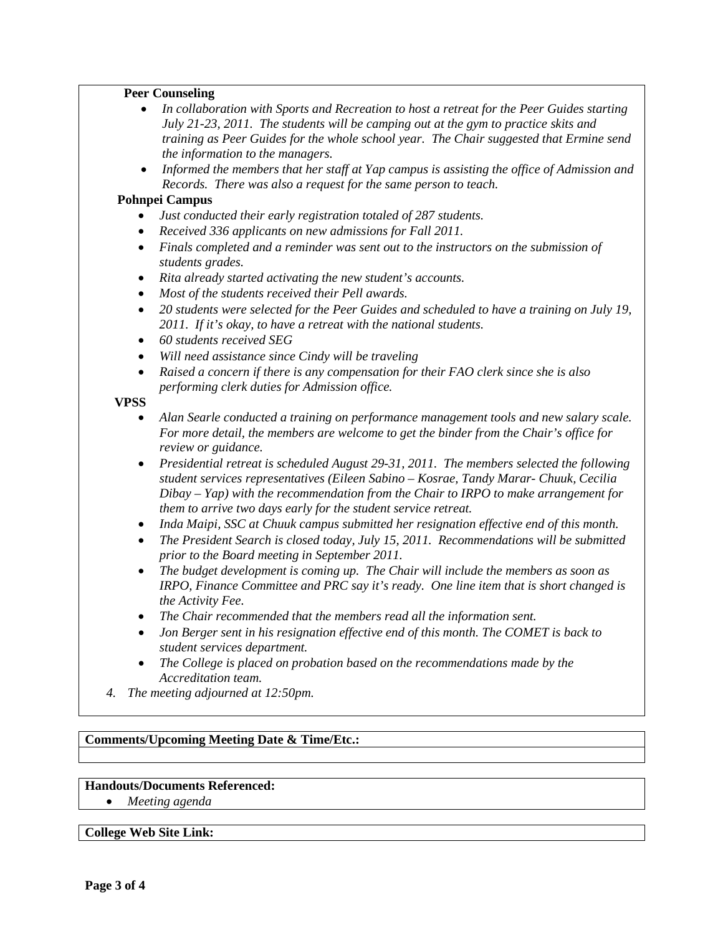### **Peer Counseling**

- *In collaboration with Sports and Recreation to host a retreat for the Peer Guides starting July 21-23, 2011. The students will be camping out at the gym to practice skits and training as Peer Guides for the whole school year. The Chair suggested that Ermine send the information to the managers.*
- *Informed the members that her staff at Yap campus is assisting the office of Admission and Records. There was also a request for the same person to teach.*

### **Pohnpei Campus**

- *Just conducted their early registration totaled of 287 students.*
- *Received 336 applicants on new admissions for Fall 2011.*
- *Finals completed and a reminder was sent out to the instructors on the submission of students grades.*
- *Rita already started activating the new student's accounts.*
- *Most of the students received their Pell awards.*
- *20 students were selected for the Peer Guides and scheduled to have a training on July 19, 2011. If it's okay, to have a retreat with the national students.*
- *60 students received SEG*
- *Will need assistance since Cindy will be traveling*
- *Raised a concern if there is any compensation for their FAO clerk since she is also performing clerk duties for Admission office.*

### **VPSS**

- *Alan Searle conducted a training on performance management tools and new salary scale. For more detail, the members are welcome to get the binder from the Chair's office for review or guidance.*
- *Presidential retreat is scheduled August 29-31, 2011. The members selected the following student services representatives (Eileen Sabino – Kosrae, Tandy Marar- Chuuk, Cecilia Dibay – Yap) with the recommendation from the Chair to IRPO to make arrangement for them to arrive two days early for the student service retreat.*
- *Inda Maipi, SSC at Chuuk campus submitted her resignation effective end of this month.*
- *The President Search is closed today, July 15, 2011. Recommendations will be submitted prior to the Board meeting in September 2011.*
- *The budget development is coming up. The Chair will include the members as soon as IRPO, Finance Committee and PRC say it's ready. One line item that is short changed is the Activity Fee.*
- *The Chair recommended that the members read all the information sent.*
- *Jon Berger sent in his resignation effective end of this month. The COMET is back to student services department.*
- *The College is placed on probation based on the recommendations made by the Accreditation team.*
- *4. The meeting adjourned at 12:50pm.*

# **Comments/Upcoming Meeting Date & Time/Etc.:**

### **Handouts/Documents Referenced:**

• *Meeting agenda*

#### **College Web Site Link:**